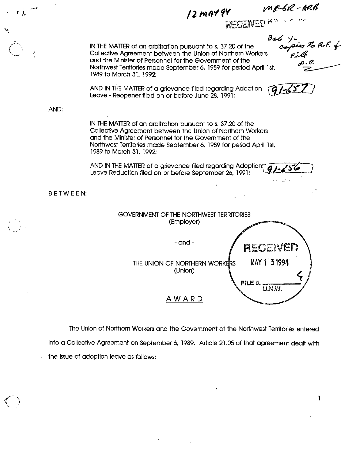MR-6R-ARB  $\gamma$ 2 may 94  $\rho$  me-6K r / Bel  $y$ -<br>cospers to R.F. of<br>state<br>state of the state of the state of the state of the state of the state of the state of the state of the state o<br>state of the state of the state of the state of the state of the state of t IN THE MATTER of an arbitration pursuant to s. 37.20 of the 5 Collective Agreement between the Union of Northern Workers Collective Agreement between the Union of Northern Workers  $\begin{matrix} 2 & 2 & 2 \\ 2 & 3 & 3 \end{matrix}$ Northwest Territories made September 6, 1989 for period April 1st, 1989 to March 31, 1992; AND IN THE MATTER of a grievance filed regarding Adoption  $\sqrt{q}$  /-657 Leave - Reopener filed on or before June 28, 1991; AND: IN THE MATTER of an arbitration pursuant to s. 37.20 of the Collective Agreement between the Union of Northern Workers and the Minister of Personnel for the Government of the Northwest Territories made September 6, 1989 for period April 1st, 1989 to March 31, 1992 AND IN THE MATTER of a grievance filed regarding Adoption; Leave Reduction filed on or before September 26,1991; BETWEEN: GOVERNMENT OF THE NORTHWEST TERRITORIES (Employer)  $\lambda$   $\rightarrow$   $\lambda$   $\rightarrow$  $-$  and  $-$ RECEIVED MAY 1 3 1994 THE UNION OF NORTHERN WORKERS (Union) FILE # U.N.W. AWARD

The Union of Northern Workers and the Government of the Northwest Territories entered into a Collective Agreement on September 6, 1989. Article 21.05 of that agreement dealt with the issue of adoption leave as follows:

 $\mathbf{1}$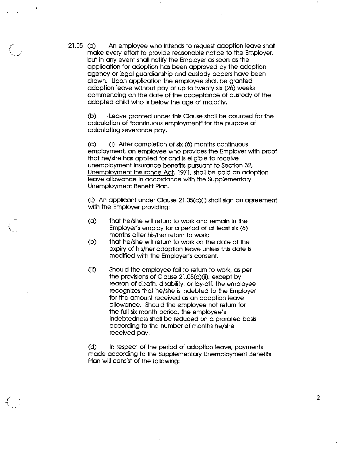"21.05 (a) An employee who intends to request adoption leave shall make every effort to provide reasonable notice to the Employer, but in any event shall notify the Employer as soon as the application for adoption has been approved by the adoption agency or legal guardianship and custody papers have been drawn. Upon application the employee shall be granted adoption leave without pay of up to twenty six (26) weeks commencing on the date of the acceptance of custody of the adopted child who is below the age of majority.

> (b) •Leave granted under this Clause shall be counted for the calculation of "continuous employment" for the purpose of calculating severance pay.

(c) 0) After completion of six (6) months continuous employment, an employee who provides the Employer with proof that he/she has applied for and is eligible to receive unemployment Insurance benefits pursuant to Section 32, Unemployment insurance Act, 1971, shall be paid an adoption leave allowance in accordance with the Supplementary Unemployment Benefit Plan.

(ii) An applicant under Clause 21.05(c)(i) shall sign an agreement with the Employer providing:

- (a) that he/she will return to work and remain in the Employer's employ for a period of at least six (6) months after his/her return to work;
- (b) that he/she will return to work on the date of the expiry of his/her adoption leave unless this date is modified with the Employer's consent.
- (ill) Should the employee fail to return to work, as per the provisions of Clause 21.05(c)(ii), except by reason of death, disability, or lay-off, the employee recognizes that he/she is indebted to the Employer for the amount received as an adoption leave allowance. Should the employee not return for the full six month period, the employee's indebtedness shall be reduced on a prorated basis according to the number of months he/she received pay.

(d) In respect of the period of adoption leave, payments made according to the Supplementary Unemployment Benefits Plan will consist of the following:

/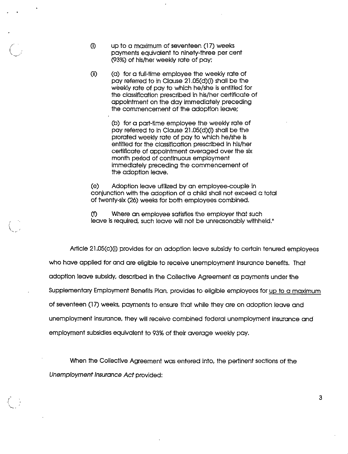- (i) up to a maximum of seventeen (17) weeks payments equivalent to ninety-three per cent (93%) of his/her weekly rate of pay;
- $(i)$   $(i)$  for a full-time employee the weekly rate of pay referred to in Clause 21.05(d)(i) shall be the weekly rate of pay to which he/she is entitled for the classification prescribed in his/her certificate of appointment on the day Immediately preceding the commencement of the adoption leave;

(b) for a part-time employee the weekly rate of pay referred to In Clause 21.05(d)(1) shall be the prorated weekly rate of pay to which he/she Is entitled for the classification prescribed in his/her certificate of appointment averaged over the six month period of continuous employment Immediately preceding the commencement of the adoption leave.

(e) Adoption leave utilized by an employee-couple in conjunction with the adoption of a child shall not exceed a total of twenty-six (26) weeks for both employees combined.

(f) Where an employee satisfies the employer that such leave is required, such leave will not be unreasonably withheld."

Article 21.05(c)(1) provides for an adoption leave subsidy to certain tenured employees who have applied for and are eligible to receive unemployment insurance benefits. That adoption leave subsidy, described in the Collective Agreement as payments under the Supplementary Employment Benefits Plan, provides to eligible employees for up to a maximum of seventeen (17) weeks, payments to ensure that while they are on adoption leave and unemployment insurance, they will receive combined federal unemployment insurance and employment subsidies equivalent to 93% of their overage weekly pay.

When the Collective Agreement was entered into, the pertinent sections of the Unemploymenf Insurance Act provided: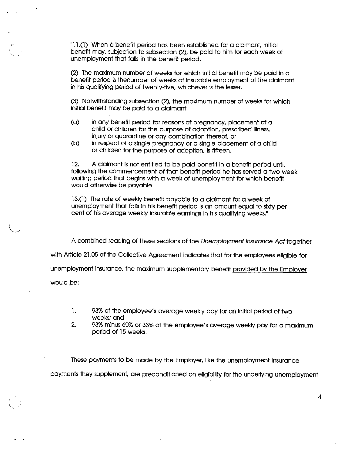"11.(1) When a benefit period has been estabiished for a cioimont initioi benefit may, subjection to subsection (2), be paid to him for each week of unempioyment that falls in the benefit period.

(2) The maximum number of weeks for which initial benefit may be paid in a benefit period is thenumber of weeks of insurable employment of the claimant in his qualifying period of twenty-five, whichever is the lesser.

(3) Notwithstanding subsection (2), the maximum number of weeks for which initial benefit may be paid to a claimant

- (a) in any benefit period for reasons of pregnancy, placement of a child or children for the purpose of adoption, prescribed illness, injury or quarantine or any combination thereof, or
- (b) in respect of a single pregnancy or a single placement of a child or children for the purpose of adoption, is fifteen.

12. A claimant is not entitled to be paid benefit in a benefit period until following the commencement of that benefit period he has served a two week waiting period that begins with a week of unemployment for which benefit would otherwise be payable.

13.(1) The rate of weekly benefit payable to a claimant for a week of unemployment that fails in his benefit period is an amount equal to sixty per cent of his average weekly insurable earnings in his qualifying weeks."

A combined reading of these sections of the Unemployment Insurance Act together

with Article 21.05 of the Collective Agreement indicates that for the employees eligible for

unemployment insurance, the maximum supplementary benefit provided by the Employer

would be:

 $\sim$   $\sim$   $\sim$ 

- 1. 93% of the employee's average weekly pay for an initial period of two weeks; and
- 2. 93% minus 60% or 33% of the employee's average weekly pay for a maximum period of 15 weeks.

4

These payments to be made by the Employer, like the unemployment insurance payments they supplement, are preconditioned on eligibility for the underlying unempioyment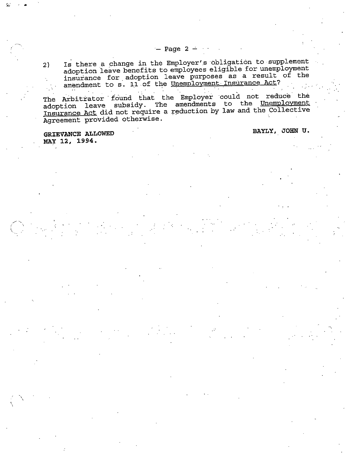2) Is there a change in the Employer's obligation to supplement adoption leave benefits to employees eligible for unemployment insurance for .adoption leave purposes as <sup>a</sup> result of the amendment to s. 11 of the Unemployment Insurance Act?

The Arbitrator found that the Employer could not reduce the<br>adoption leave subsidy. The amendments to the Unemployment Insurance Act did not require a reduction by law and the Collective Agreement provided otherwise.

GRIEVANCE ALLOWED BAYLY, JOHN U. MAY 12, 1994.

 $-$  Page 2  $-$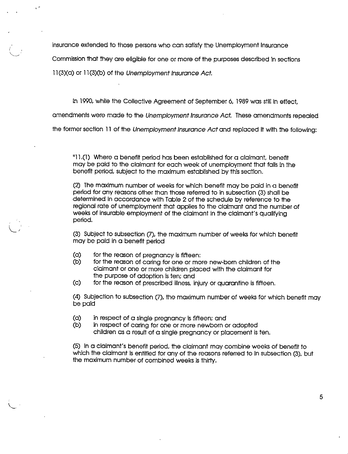insurance extended to those persons who can satisfy the Unemployment Insurance

Commission that they are eligible for one or more of the purposes described in sections

1l(3)(a) or 1l(3)(b) of the Unemployment Insurance Act.

In 1990, while the Collective Agreement of September 6, 1989 was still in effect,

amendments were made to the Unemployment Insurance Act. These amendments repealed

the former section 11 of the Unemployment Insurance Act and replaced it with the following:

"11.(1) Where a benefit period has been established for a claimant, benefit may be paid to the claimant for each week of unemployment that falls in the benefit period, subject to the maximum established by this section.

(2) The maximum number of weeks for which benefit may be paid in a benefit period for any reasons other than those referred to in subsection (3) shall be determined In accordance with Table 2 of the schedule by reference to the regional rate of unemployment that applies to the claimant and the number of weeks of insurable employment of the claimant in the claimant's qualifying period.

(3) Subject to subsection (7), the maximum number of weeks for which benefit may be paid in a benefit period

- (a) for the reason of pregnancy is fifteen:
- (b) for the reason of caring for one or more new-bom children of the claimant or one or more children placed with the claimant for the purpose of adoption is ten; and
- (c) for the reason of prescribed Illness, injury or quarantine isfifteen.

(4) Subjection to subsection (7), the maximum number of weeks for which benefit may be paid

- $(a)$  in respect of a single pregnancy is fifteen; and
- (b) in respect of caring for one or more newborn or adopted children as a result of a single pregnancy or placement is ten.

(5) In a claimant's benefit period, the claimant may combine weeks of benefit to which the claimant is entitled for any of the reasons referred to in subsection (3), but the maximum number of combined weeks is thirty.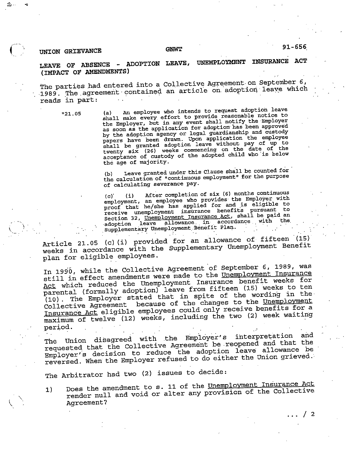## UNION GRIEVANCE GNWT

## $91 - 656$

 $/2$ 

## leave of absence - ADOPTION LEAVE, UNEMPLOYMENT INSURANCE ACT (IMPACT OF AMENDMENTS)

The parties had entered into a Collective Agreement on September 6, -1989. The agreement contained an article on adoption leave which reads in part:

%1.05 (a) An employee who intends to request adoption leave shall make every effort to provide reasonable notice to the Employer, but in any event shall notify the Employer<br>as soon as the application for adoption has been approved by the adoption agency or legal guardianship and custody papers have been drawn. Upon application the employee shall be granted adoption leave without pay of up to twenty six (26) weeks commencing on the date of the acceptance of custody of the adopted child who is below the age of majority.

> (b) Leave granted under this Clause shall be counted for the calculation of "continuous employment" for the purpose of calculating severance pay.

> (c) (i) After completion of six (6) months continuous<br>continuous continuous continuous continuous with employment, an employee who provides the Employer with<br>proof that he/she has applied for and is eligible to receive unemployment insurance benefits pursuant to<br>receive unemployment insurance est shall be paid an Section 32, <u>Unemployment Insurance Act</u>, shall be paid an adoption leave allowance in accordance with the Supplementary Unemployment Benefit Plan.

Article 21.05 (c) (i) provided for an allowance of fifteen (15) weeks in accordance with the Supplementary Unemployment Benefit plan for eligible employees.

In 1990, while the Collective Agreement of September 6, 1989, was<br>still in effect amendments were made to the Unemployment Insurance Act which reduced the Unemployment Insurance benefit weeks for<br>parental (formally adoption) leave from fifteen (15) weeks to ten<br>(10). The Employer stated that in spite of the wording in the Collective Agreement because of the changes to the Unemployment<br>Insurance Act eligible employees could only receive benefits for a maximum of twelve (12) weeks, including the two (2) week waiting period.

The Union disagreed with the Employer's interpretation and<br>requested that the Collective Agreement be reopened and that the Employer's decision to reduce the adoption leave allowance be reversed. When the Employer refused to do either the Union grieved.

The Arbitrator had two (2) issues to decide:

1) Does the amendment to s. 11 of the Unemployment Insurance Act render null and void or alter any provision of the Collective Agreement?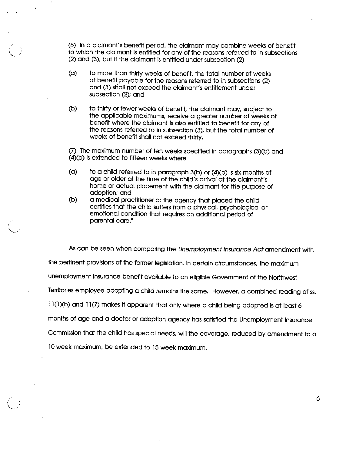(6) In a claimant's benefit period, ttie claimant may combine weeks of benefit to which the claimant is entitled for any of the reasons referred to in subsections (2) and (3), but if the claimant is entitled under subsection (2)

(a) to more than thirty weeks of benefit, the total number of weeks of benefit payable for the reasons referred to in subsections (2) and (3) shall not exceed the claimant's entitlement under subsection (2); and

v..

(b) to thirty or fewer weeks of benefit, the claimant may, subject to the applicable maximums, receive a greater number of weeks of benefit where the claimant is also entitled to benefit for any of the reasons referred to in subsection (3), but the total number of weeks of benefit shall not exceed thirty.

(7) The maximum number of ten weeks specified in paragraphs (3)(b) and (4)(b) is extended to fifteen weeks where

- (a) to a child referred to in paragraph  $3(b)$  or  $(4)(b)$  is six months of age or older at the time of the child's arrival at the claimant's home or actual placement with the claimant for the purpose of adoption; and
- (b) a medical practitioner or the agency that placed the child certifies that the child suffers from a physical, psychological or emotional condition that requires an additional period of parental care."

As can be seen when comparing the Unemployment Insurance Act amendment with the pertinent provisions of the former legislation, in certain circumstances, the maximum unemployment insurance benefit available to an eligible Government of the Northwest Territories employee adopting a child remains the same. However, a combined reading ofss. 11(1)(b) and 11(7) makes it apparent that only where a child being adopted is at least 6 months of age and a doctor or adoption agency has satisfied the Unemployment Insurance Commission that the child has special needs, will the coverage, reduced by amendment to a 10 week maximum, be extended to 15 week maximum.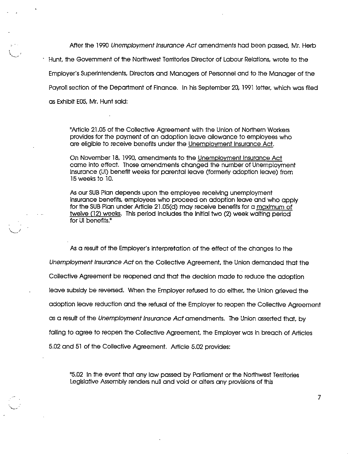After the 1990 Unemployment Insurance Act amendments hod been passed, Mr. Herb • Hunt, the Government of the Northwest Territories Director of Labour Relations, wrote to the Employer's Superintendents, Directors and Managers of Personnel and to the Manager of the Payroll section of the Department of Finance. In his September 20, 1991 letter, which was filed as Exhibit £06, Mr. Hunt said:

"Article 21.05 of the Collective Agreement with the Union of Northern Workers provides for the payment of an adoption leave allowance to employees who are eligible to receive benefits under the Unemployment Insurance Act.

On November 18, 1990, amendments to the Unemployment Insurance Act came Into effect. Those amendments changed the number of Unemployment Insurance (Ul) benefit weeks for parental leave (formerly adoption leave) from 15 weeks to 10.

As our SUB Plan depends upon the employee receiving unemployment Insurance benefits, employees who proceed on adoption leave and who apply for the SUB Plan under Article 21.05(d) may receive benefits for a maximum of twelve (12) weeks. This period Includes the initial two (2) week waiting period for Ul benefits."

As a result of the Employer's Interpretation of the effect of the changes to the Unemployment Insurance Act on the Collective Agreement, the Union demanded that the Collective Agreement be reopened and that the decision made to reduce the adoption leave subsidy be reversed. When the Employer refused to do either, the Union grieved the adoption leave reduction and the refusal of the Employer to reopen the Collective Agreement as a result of the Unemployment Insurance Act amendments. The Union asserted that, by failing to agree to reopen the Collective Agreement, the Employer was in breach of Articles 5.02 and 61 of the Collective Agreement. Article 5.02 provides:

"5.02 In the event that any law passed by Parliament or the Northwest Territories Legislative Assembly renders null and void or alters any provisions of this

 $\overline{7}$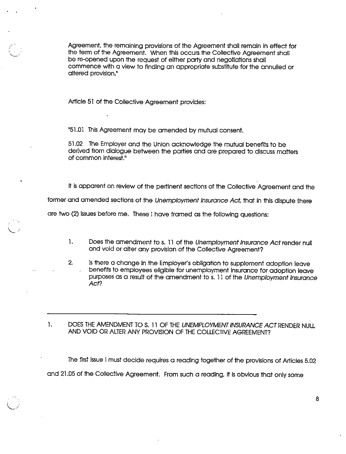Agreement, the remaining provisions of the Agreement shall remain in effect for the term of the Agreement. When this occurs the Collective Agreement shall be re-opened upon the request of either party and negotiations shall commence with a view to finding an appropriate substitute for the annulled or altered provision."

Article 51 of the Collective Agreement provides:

"51.01 This Agreement may be amended by mutual consent.

51.02 The Employer and the Union acknowledge the mutual benefits to be derived from dialogue between the parties and are prepared to discuss matters of common interest."

it is apparent on review of the pertinent sections of the Collective Agreement and the

former and amended sections of the Unemployment Insurance Act, that in this dispute there

are two (2) issues before me. These i have framed as the following questions:

- 1. Does the amendment to s. 11 of the Unemployment Insurance Act render null and void or alter any provision of the Collective Agreement?
- 2. Is there a change in the Employer's obligation to supplement adoption leave benefits to employees eligible for unemployment insurance for adoption leave purposes as a result of the amendment to s. 11 of the Unemployment Insurance Act?

1. DOES THE AMENDMENT TO S. 11 OF THE UNEMPLOYMENT INSURANCE ACT RENDER NULL AND VOID OR ALTER ANY PROVISION OF THE COLLECTIVE AGREEMENT?

The first issue I must decide requires a reading together of the provisions of Articles 5.02 and 21.05 of the Collective Agreement. From such a reading, it is obvious that oniy some

t V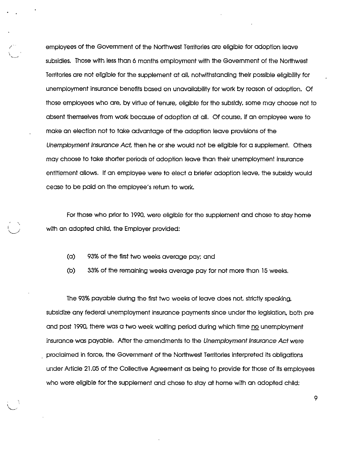employees of the Government of the Northwest Territories are eligible for adoption leave subsidies. Those with less than 6 months employment with the Government of the Northwest Territories are not eligible for the supplement at all notwithstanding their possible eligibility for unemployment insurance benefits based on unavailability for work by reason of adoption. Of those employees who are, by virtue of tenure, eligible for the subsidy, some may choose not to absent themselves from work because of adoption at all. Of course, if an employee were to make an election not to take advantage of the adoption leave provisions of the Unemployment Insurance Act, then he or she would not be eligible for a supplement. Others may choose to take shorter periods of adoption leave than their unemployment insurance entitlement allows. If an employee were to elect a briefer adoption leave, the subsidy would cease to be paid on the employee's return to work.

For those who prior to 1990, were eligible for the supplement and chose to stay home with an adopted child, the Employer provided:

- (a) 93% of the first two weeks average pay; and
- (b) 33% of the remaining weeks average pay for not more than 15 weeks.

The 93% payable during the first two weeks of leave does not, strictly speaking, subsidize any federal unemployment insurance payments since under the legislation, both pre and post 1990, there was a two week waiting period during which time no unemployment insurance was payable. After the amendments to the Unemployment Insurance Act were proclaimed in force, the Government of the Northwest Territories interpreted its obligations under Article 21.05 of the Collective Agreement as being to provide for those of Its employees who were eligible for the supplement and chose to stay at home with an adopted child;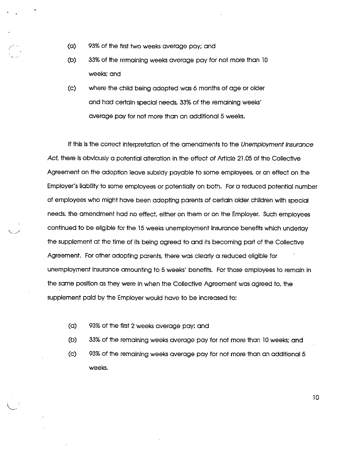- (a) 93% of the first two weeks average pay; and
- (b) 33% of the remaining weeks average pay for not more than 10 weeks; and
- (c) where the child being adopted was 6 months of age or older and had certain special needs, 33% of the remaining weeks' average pay for not more than an additional 5 weeks.

If this is the correct interpretation of the amendments to the Unemployment Insurance Act, there is obviously a potential alteration in the effect of Article 21.05 of the Collective Agreement on the adoption leave subsidy payable to some employees, or an effect on the Employer's liability to some employees or potentially on both. For a reduced potential number of employees who might have been adopting parents of certain older children with special needs, the amendment had no effect, either on them or on the Employer. Such employees continued to be eligible for the 16 weeks unemployment Insurance benefits which underlay the supplement at the time of its being agreed to and its becoming part of the Collective Agreement. For other adopting parents, there was clearly a reduced eligible for unemployment insurance amounting to 5 weeks' benefits. For those employees to remain in the same position as they were in when the Collective Agreement was agreed to, the supplement paid by the Employer would have to be increased to:

- (a) 93% of the first 2 weeks average pay; and
- (b) 33% of the remaining weeks average pay for not more than 10 weeks; and
- (c) 93% of the remaining weeks average pay for not more than an additional 5 weeks.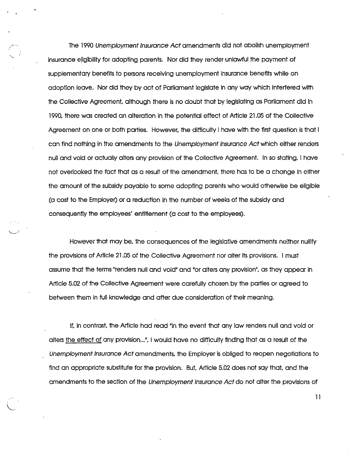The 1990 Unemployment Insurance Acf amendments did not abolish unemployment insurance eligibility for adopting parents. Nor did they render unlawful the payment of supplementary benefits to persons receiving unemployment Insurance benefits while on adoption leave. Nor did they by act of Parliament legislate in any way which interfered with the Collective Agreement, although there is no doubt that by legislating as Pariiament did in 1990, there was created an alteration in the potential effect of Article 21.05 of the Collective Agreement on one or both parties. However, the difficulty I have with the first question is that I can find nothing in the amendments to the Unemployment Insurance Act which either renders null and void or actually alters any provision of the Collective Agreement. In so stating, I have not overlooked the fact that as a result of the amendment, there has to be a change In either the amount of the subsidy payable to some adopting parents who would otherwise be eligible (a cost to the Employer) or a reduction in the number of weeks of the subsidy and consequently the employees' entitlement (a cost to the employees).

However that may be, the consequences of the legislative amendments neither nullify the provisions of Article 21.05 of the Collective Agreement nor alter its provisions. I must assume that the terms "renders null and void" and "or alters any provision", as they appear in Article 5.02 of the Collective Agreement were carefully chosen by the parties or agreed to between them In full knowledge and after due consideration of their meaning.

if. In contrast, the Article had read "in the event that any law renders null and void or alters the effect of any provision...", I would have no difficulty finding that as a result of the Unemployment Insurance Act amendments, the Employer Is obliged to reopen negotiations to find an appropriate substitute for the provision. But, Article 5.02 does not say that, and the omendments to the section of the Unemployment Insurance Act do not alter the provisions of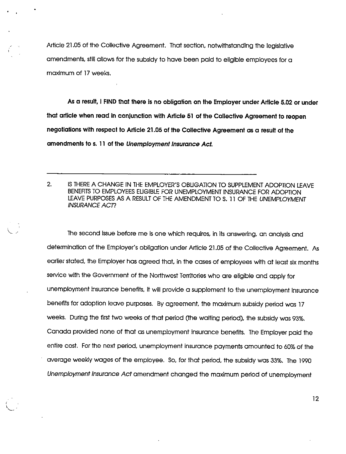Article 21.05 of the Collective Agreement. That section, notwithstanding the legislative amendments, still allows for the subsidy to have been paid to eligible employees for a maximum of 17 weeks.

As a result, I FIND that there is no obligation on the Employer under Article 5.02 or under that article when read In conjunction with Article 51 of the Collective Agreement to reopen negotiations with respect to Article 21.05 of the Collective Agreement as a result of the amendments to s. 11 of the Unemployment Insurance Act.

2. IS THERE A CHANGE IN THE EMPLOYER'S OBUGATiON TO SUPPLEMENT ADOPTION L£AVE BENEFITS TO EMPLOYEES EUGIBLE FOR UNEMPLOYMENT INSURANCE FOR ADOPTION LEAVE PURPOSES AS A RESULT OF THE AMENDMENT TO S. 11 OF THE UNEMPLOYMENT INSURANCE ACT?

The second issue before me is one which requires, in its answering, an analysis and determination of the Employer's obligation under Article 21.05 of the Collective Agreement. As earlier stated, the Employer has agreed that, in the cases of employees with at least six months service with the Government of the Northwest Territories who are eligible and apply for unemployment insurance benefits, it will provide a supplement to the unemployment insurance benefits for adoption leave purposes. By agreement, the maximum subsidy period was 17 weeks. During the first two weeks of that period (the waiting period), the subsidy was 93%. Canada provided none of that as unemployment insurance benefits. The Employer paid the entire cost. Forthe next period, unemployment insurance payments amounted to 60% of the average weekly wages of the employee. So, for that period, the subsidy was 33%. The 1990 Unemployment Insurance Act amendment changed the maximum period of unemployment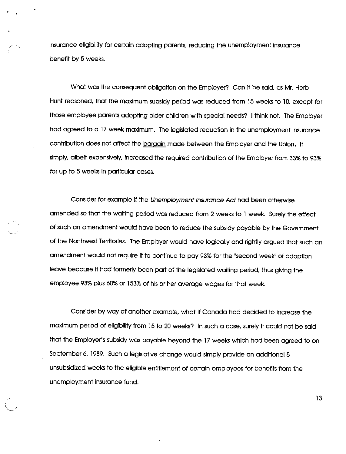insurance eligibility for certain adopting parents, reducing the unemployment insurance benefit by 6 weeks.

What was the consequent obligation on the Employer? Can it be said, as Mr. Herb Hunt reasoned, that the maximum subsidy period was reduced from 15 weeks to 10, except for those employee parents adopting older children with special needs? I think not. The Empioyer had agreed to a 17 week maximum. The legislated reduction in the unemployment insurance contribution does not affect the bargain made between the Employer and the Union. It simply, albeit expensively, increased the required contribution of the Employer from 33% to 93% for up to 6 weeks in particular cases.

Consider for example if the Unemployment Insurance Act had been otherwise amended so that the waiting period was reduced from 2 weeks to 1 week. Surely the effect of such an amendment would have been to reduce the subsidy payable by the Government of the Northwest Territories. The Employer would have logically and rightly argued that such an amendment would not require it to continue to pay 93% for the "second week" of adoption leave because it had formerly been part of the legislated waiting period, thus giving the employee 93% plus 60% or 153% of his or her average wages for that week.

Consider by way of another example, what if Canada had decided to increase the maximum period of eligibility from 15 to 20 weeks? In such a case, surely it could not be said that the Employer's subsidy was payable beyond the 17 weeks which had been agreed to on September 6, 1989. Such a legislative change would simply provide an additional 5 unsubsidlzed weeks to the eligible entitlement of certain employees for benefits from the unemployment Insurance fund.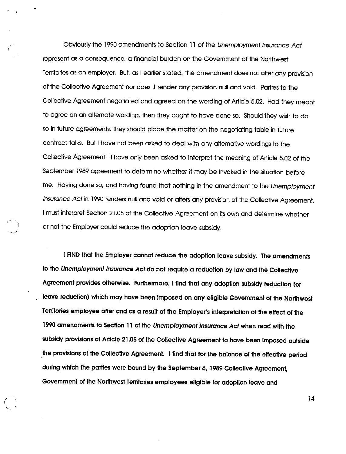Obviously the 1990 amendments to Section 11 of the Unemployment Insurance Act represent as a consequence, a financial burden on the Government of the Northwest Territories as an employer. But, as I earlier stated, the amendment does not alter any provision of the Collective Agreement nor does It render any provision null and void. Parties to the Collective Agreement negotiated and agreed on the wording of Article 5.02. Had they meant to agree on an alternate wording, then they ought to have done so. Should they wish to do so in future agreements, they should place the matter on the negotiating table in future contract talks. But Ihave not been asked to deal with any alternative wordings to the Collective Agreement. I have only been asked to Interpret the meaning of Article 5.02 of the September 1989 agreement to determine whether it may be invoked in the situation before me. Having done so. and having found that nothing in the amendment to the Unemployment Insurance Act In 1990 renders null and void or alters any provision of the Collective Agreement, I must Interpret Section 21.05 of the Collective Agreement on Its own and determine whether or not the Employer could reduce the adoption leave subsidy.

I FIND that the Employer cannot reduce the adoption leave subsidy. The amendments to the Unemployment Insurance Act do not require a reduction by iaw and the Coliective Agreement provides otherwise. Furthermore, I find that any adoption subsidy reduction (or leave reduction) which may have been imposed on any eligible Government of the Northwest Territories employee after and as a result of the Employer's interpretation of the effect of the 1990 amendments to Section 11 of the Unemployment Insurance Act when read with the subsidy provisions of Article 21.05 of the Coliective Agreement to have been Imposed outside the provisions of the Collective Agreement. I find that for the balance of the effective period during which the parties were bound by the September 6, 1989 Collective Agreement, Government of the Northwest Territories employees eligible for adoption leave and